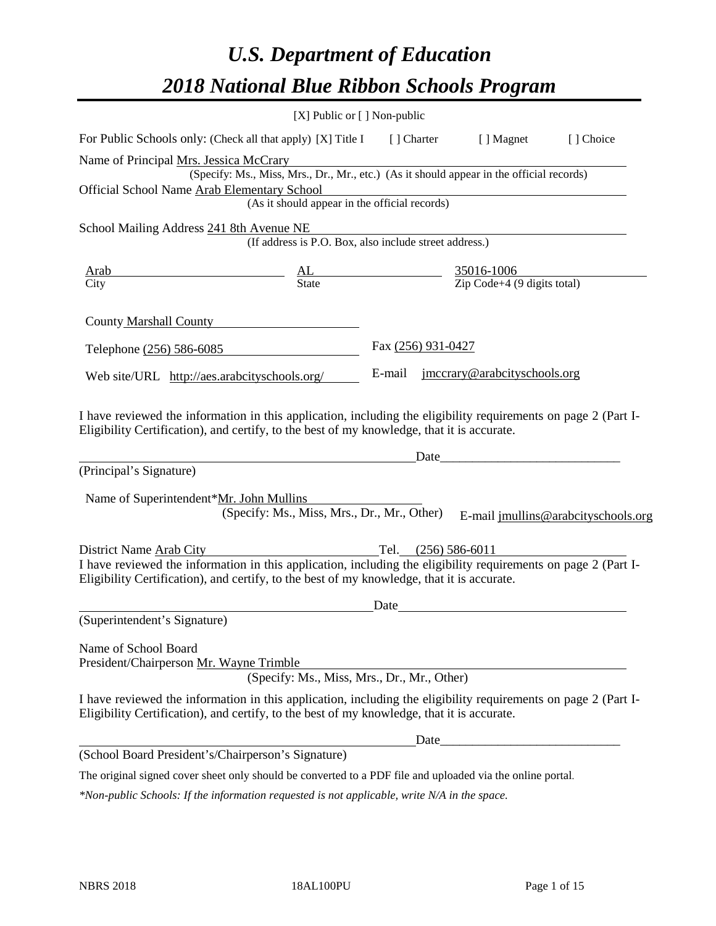# *U.S. Department of Education 2018 National Blue Ribbon Schools Program*

|                                                                                                                                                                                                              | [X] Public or [] Non-public                                                              |                                                                                                                               |                                                                                                                                                                                                                                |                                     |
|--------------------------------------------------------------------------------------------------------------------------------------------------------------------------------------------------------------|------------------------------------------------------------------------------------------|-------------------------------------------------------------------------------------------------------------------------------|--------------------------------------------------------------------------------------------------------------------------------------------------------------------------------------------------------------------------------|-------------------------------------|
| For Public Schools only: (Check all that apply) [X] Title I [] Charter                                                                                                                                       |                                                                                          |                                                                                                                               | [ ] Magnet                                                                                                                                                                                                                     | [] Choice                           |
| Name of Principal Mrs. Jessica McCrary                                                                                                                                                                       |                                                                                          |                                                                                                                               |                                                                                                                                                                                                                                |                                     |
|                                                                                                                                                                                                              | (Specify: Ms., Miss, Mrs., Dr., Mr., etc.) (As it should appear in the official records) |                                                                                                                               |                                                                                                                                                                                                                                |                                     |
| Official School Name Arab Elementary School                                                                                                                                                                  |                                                                                          |                                                                                                                               |                                                                                                                                                                                                                                |                                     |
|                                                                                                                                                                                                              | (As it should appear in the official records)                                            |                                                                                                                               |                                                                                                                                                                                                                                |                                     |
| School Mailing Address 241 8th Avenue NE                                                                                                                                                                     |                                                                                          |                                                                                                                               |                                                                                                                                                                                                                                |                                     |
|                                                                                                                                                                                                              | (If address is P.O. Box, also include street address.)                                   |                                                                                                                               |                                                                                                                                                                                                                                |                                     |
| <u>Arab</u>                                                                                                                                                                                                  |                                                                                          | $\underline{\begin{array}{ccc}\nAL & \underline{AL} \\ State & \underline{2ip} \text{ Code+4 (9 digits total)}\n\end{array}}$ |                                                                                                                                                                                                                                |                                     |
| $\overline{City}$                                                                                                                                                                                            |                                                                                          |                                                                                                                               |                                                                                                                                                                                                                                |                                     |
| County Marshall County                                                                                                                                                                                       |                                                                                          |                                                                                                                               |                                                                                                                                                                                                                                |                                     |
| Telephone (256) 586-6085                                                                                                                                                                                     |                                                                                          | Fax (256) 931-0427                                                                                                            |                                                                                                                                                                                                                                |                                     |
| Web site/URL http://aes.arabcityschools.org/                                                                                                                                                                 |                                                                                          | E-mail                                                                                                                        | jmccrary@arabcityschools.org                                                                                                                                                                                                   |                                     |
| (Principal's Signature)<br>Name of Superintendent*Mr. John Mullins                                                                                                                                           | (Specify: Ms., Miss, Mrs., Dr., Mr., Other)                                              |                                                                                                                               | Date has a series of the series of the series of the series of the series of the series of the series of the series of the series of the series of the series of the series of the series of the series of the series of the s | E-mail jmullins@arabcityschools.org |
| District Name Arab City                                                                                                                                                                                      |                                                                                          | Tel. (256) 586-6011                                                                                                           |                                                                                                                                                                                                                                |                                     |
| I have reviewed the information in this application, including the eligibility requirements on page 2 (Part I-<br>Eligibility Certification), and certify, to the best of my knowledge, that it is accurate. |                                                                                          |                                                                                                                               |                                                                                                                                                                                                                                |                                     |
|                                                                                                                                                                                                              |                                                                                          | Date                                                                                                                          |                                                                                                                                                                                                                                |                                     |
| (Superintendent's Signature)                                                                                                                                                                                 |                                                                                          |                                                                                                                               |                                                                                                                                                                                                                                |                                     |
| Name of School Board<br>President/Chairperson Mr. Wayne Trimble                                                                                                                                              | (Specify: Ms., Miss, Mrs., Dr., Mr., Other)                                              |                                                                                                                               |                                                                                                                                                                                                                                |                                     |
| I have reviewed the information in this application, including the eligibility requirements on page 2 (Part I-<br>Eligibility Certification), and certify, to the best of my knowledge, that it is accurate. |                                                                                          |                                                                                                                               |                                                                                                                                                                                                                                |                                     |
|                                                                                                                                                                                                              |                                                                                          | Date                                                                                                                          | <u> 1989 - Johann Barbara, martxa alemaniar a</u>                                                                                                                                                                              |                                     |
| (School Board President's/Chairperson's Signature)                                                                                                                                                           |                                                                                          |                                                                                                                               |                                                                                                                                                                                                                                |                                     |
| The original signed cover sheet only should be converted to a PDF file and uploaded via the online portal.                                                                                                   |                                                                                          |                                                                                                                               |                                                                                                                                                                                                                                |                                     |

*\*Non-public Schools: If the information requested is not applicable, write N/A in the space.*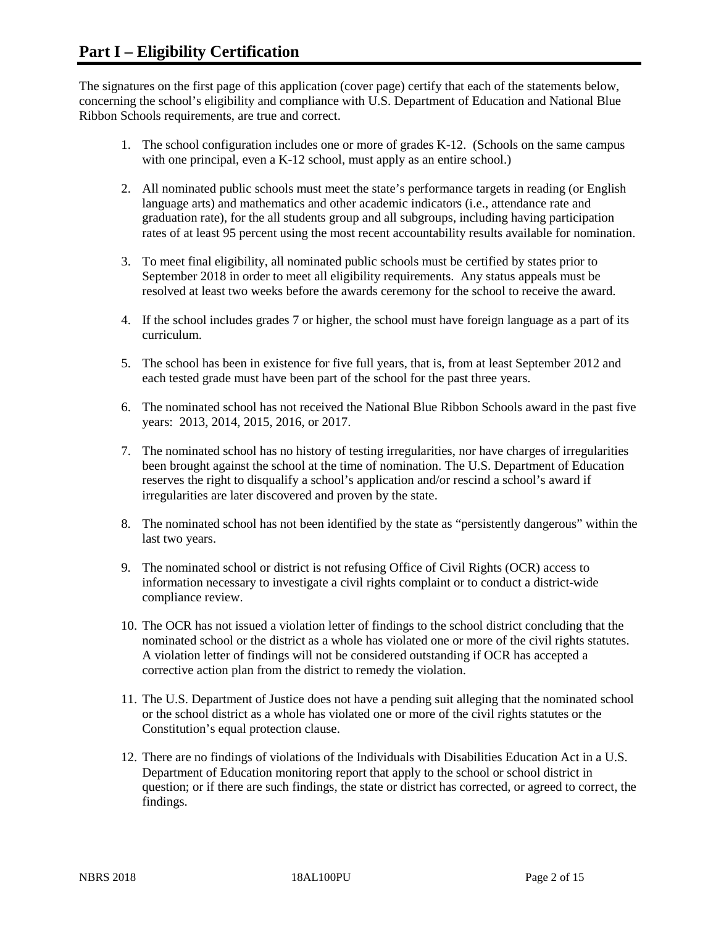The signatures on the first page of this application (cover page) certify that each of the statements below, concerning the school's eligibility and compliance with U.S. Department of Education and National Blue Ribbon Schools requirements, are true and correct.

- 1. The school configuration includes one or more of grades K-12. (Schools on the same campus with one principal, even a K-12 school, must apply as an entire school.)
- 2. All nominated public schools must meet the state's performance targets in reading (or English language arts) and mathematics and other academic indicators (i.e., attendance rate and graduation rate), for the all students group and all subgroups, including having participation rates of at least 95 percent using the most recent accountability results available for nomination.
- 3. To meet final eligibility, all nominated public schools must be certified by states prior to September 2018 in order to meet all eligibility requirements. Any status appeals must be resolved at least two weeks before the awards ceremony for the school to receive the award.
- 4. If the school includes grades 7 or higher, the school must have foreign language as a part of its curriculum.
- 5. The school has been in existence for five full years, that is, from at least September 2012 and each tested grade must have been part of the school for the past three years.
- 6. The nominated school has not received the National Blue Ribbon Schools award in the past five years: 2013, 2014, 2015, 2016, or 2017.
- 7. The nominated school has no history of testing irregularities, nor have charges of irregularities been brought against the school at the time of nomination. The U.S. Department of Education reserves the right to disqualify a school's application and/or rescind a school's award if irregularities are later discovered and proven by the state.
- 8. The nominated school has not been identified by the state as "persistently dangerous" within the last two years.
- 9. The nominated school or district is not refusing Office of Civil Rights (OCR) access to information necessary to investigate a civil rights complaint or to conduct a district-wide compliance review.
- 10. The OCR has not issued a violation letter of findings to the school district concluding that the nominated school or the district as a whole has violated one or more of the civil rights statutes. A violation letter of findings will not be considered outstanding if OCR has accepted a corrective action plan from the district to remedy the violation.
- 11. The U.S. Department of Justice does not have a pending suit alleging that the nominated school or the school district as a whole has violated one or more of the civil rights statutes or the Constitution's equal protection clause.
- 12. There are no findings of violations of the Individuals with Disabilities Education Act in a U.S. Department of Education monitoring report that apply to the school or school district in question; or if there are such findings, the state or district has corrected, or agreed to correct, the findings.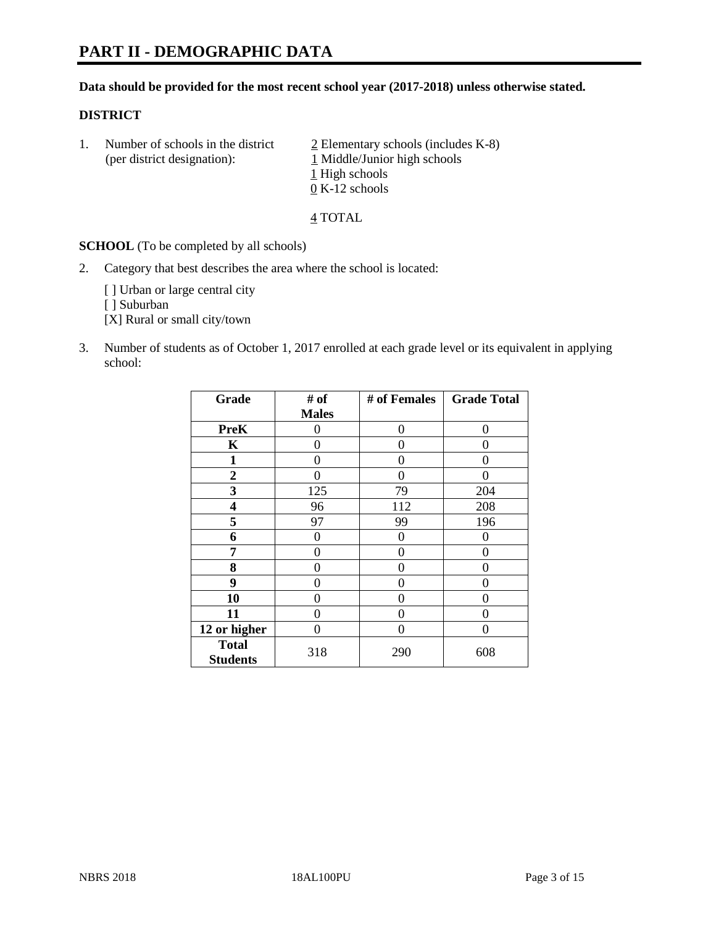#### **Data should be provided for the most recent school year (2017-2018) unless otherwise stated.**

### **DISTRICT**

1. Number of schools in the district  $\frac{2}{2}$  Elementary schools (includes K-8) (per district designation): 1 Middle/Junior high schools 1 High schools 0 K-12 schools

4 TOTAL

**SCHOOL** (To be completed by all schools)

2. Category that best describes the area where the school is located:

[] Urban or large central city

[ ] Suburban

[X] Rural or small city/town

3. Number of students as of October 1, 2017 enrolled at each grade level or its equivalent in applying school:

| Grade                           | # of         | # of Females | <b>Grade Total</b> |
|---------------------------------|--------------|--------------|--------------------|
|                                 | <b>Males</b> |              |                    |
| <b>PreK</b>                     | 0            | 0            | $\theta$           |
| K                               | 0            | 0            | 0                  |
| 1                               | 0            | 0            | 0                  |
| $\overline{2}$                  | 0            | 0            | $\mathbf{\Omega}$  |
| 3                               | 125          | 79           | 204                |
| 4                               | 96           | 112          | 208                |
| 5                               | 97           | 99           | 196                |
| 6                               | 0            | 0            | 0                  |
| 7                               | 0            | 0            | 0                  |
| 8                               | 0            | 0            | 0                  |
| 9                               | 0            | 0            | 0                  |
| 10                              | 0            | $\Omega$     | 0                  |
| 11                              | 0            | 0            | 0                  |
| 12 or higher                    | 0            | $\Omega$     | 0                  |
| <b>Total</b><br><b>Students</b> | 318          | 290          | 608                |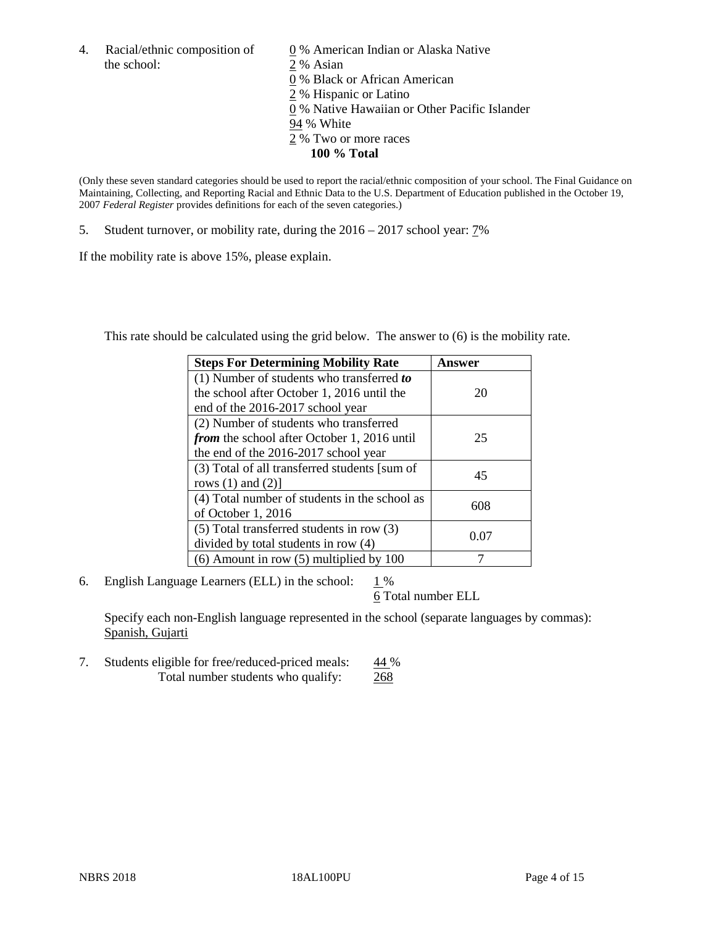4. Racial/ethnic composition of  $\qquad 0\%$  American Indian or Alaska Native the school: 2 % Asian

 % Black or African American % Hispanic or Latino % Native Hawaiian or Other Pacific Islander 94 % White % Two or more races **100 % Total**

(Only these seven standard categories should be used to report the racial/ethnic composition of your school. The Final Guidance on Maintaining, Collecting, and Reporting Racial and Ethnic Data to the U.S. Department of Education published in the October 19, 2007 *Federal Register* provides definitions for each of the seven categories.)

5. Student turnover, or mobility rate, during the 2016 – 2017 school year: 7%

If the mobility rate is above 15%, please explain.

This rate should be calculated using the grid below. The answer to (6) is the mobility rate.

| <b>Steps For Determining Mobility Rate</b>         | Answer |
|----------------------------------------------------|--------|
| (1) Number of students who transferred to          |        |
| the school after October 1, 2016 until the         | 20     |
| end of the 2016-2017 school year                   |        |
| (2) Number of students who transferred             |        |
| <i>from</i> the school after October 1, 2016 until | 25     |
| the end of the 2016-2017 school year               |        |
| (3) Total of all transferred students [sum of      | 45     |
| rows $(1)$ and $(2)$ ]                             |        |
| (4) Total number of students in the school as      |        |
| of October 1, 2016                                 | 608    |
| (5) Total transferred students in row (3)          |        |
| divided by total students in row (4)               | 0.07   |
| $(6)$ Amount in row $(5)$ multiplied by 100        |        |

6. English Language Learners (ELL) in the school:  $1\%$ 

6 Total number ELL

Specify each non-English language represented in the school (separate languages by commas): Spanish, Gujarti

7. Students eligible for free/reduced-priced meals:  $44\%$ Total number students who qualify: 268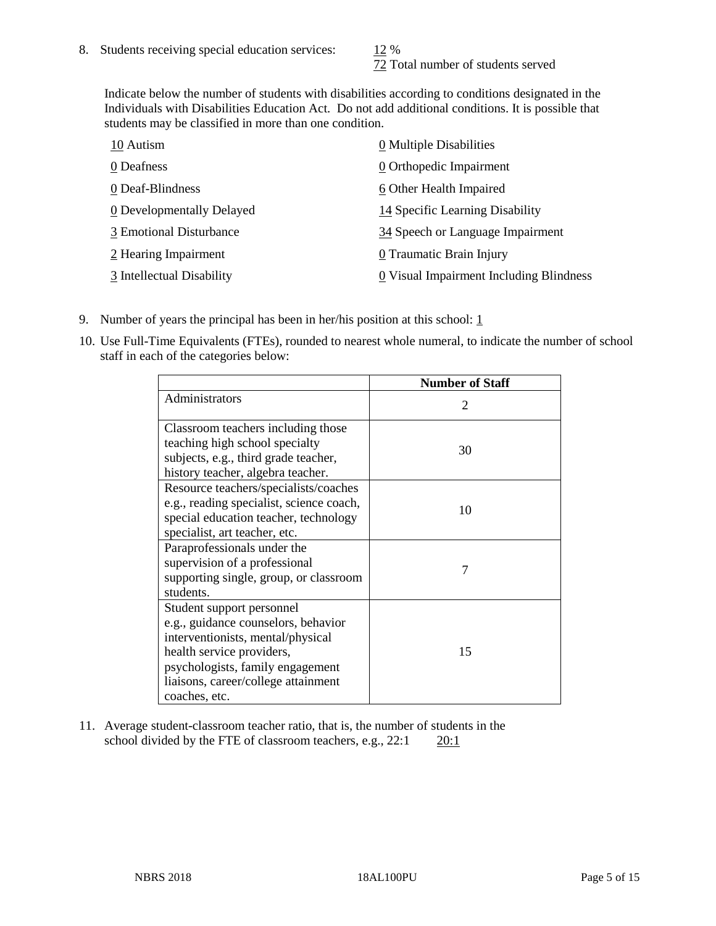72 Total number of students served

Indicate below the number of students with disabilities according to conditions designated in the Individuals with Disabilities Education Act. Do not add additional conditions. It is possible that students may be classified in more than one condition.

| 10 Autism                 | 0 Multiple Disabilities                 |
|---------------------------|-----------------------------------------|
| 0 Deafness                | 0 Orthopedic Impairment                 |
| 0 Deaf-Blindness          | 6 Other Health Impaired                 |
| 0 Developmentally Delayed | 14 Specific Learning Disability         |
| 3 Emotional Disturbance   | 34 Speech or Language Impairment        |
| 2 Hearing Impairment      | 0 Traumatic Brain Injury                |
| 3 Intellectual Disability | 0 Visual Impairment Including Blindness |

- 9. Number of years the principal has been in her/his position at this school:  $1$
- 10. Use Full-Time Equivalents (FTEs), rounded to nearest whole numeral, to indicate the number of school staff in each of the categories below:

|                                                                                                                                                                                                                                | <b>Number of Staff</b>      |
|--------------------------------------------------------------------------------------------------------------------------------------------------------------------------------------------------------------------------------|-----------------------------|
| Administrators                                                                                                                                                                                                                 | $\mathcal{D}_{\mathcal{L}}$ |
| Classroom teachers including those<br>teaching high school specialty<br>subjects, e.g., third grade teacher,<br>history teacher, algebra teacher.                                                                              | 30                          |
| Resource teachers/specialists/coaches<br>e.g., reading specialist, science coach,<br>special education teacher, technology<br>specialist, art teacher, etc.                                                                    | 10                          |
| Paraprofessionals under the<br>supervision of a professional<br>supporting single, group, or classroom<br>students.                                                                                                            | 7                           |
| Student support personnel<br>e.g., guidance counselors, behavior<br>interventionists, mental/physical<br>health service providers,<br>psychologists, family engagement<br>liaisons, career/college attainment<br>coaches, etc. | 15                          |

11. Average student-classroom teacher ratio, that is, the number of students in the school divided by the FTE of classroom teachers, e.g.,  $22:1$  20:1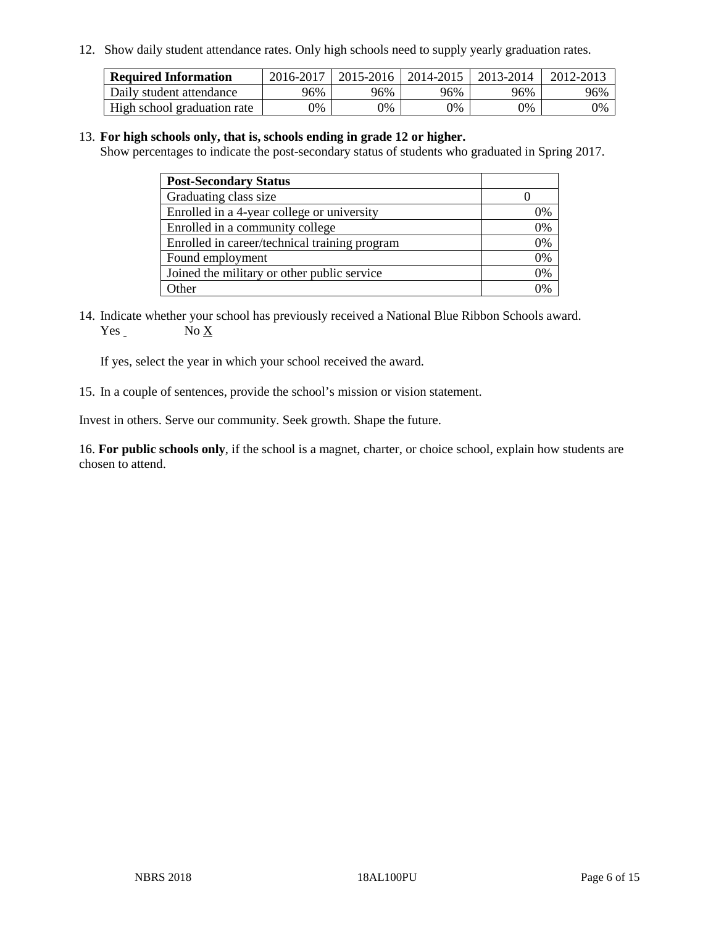12. Show daily student attendance rates. Only high schools need to supply yearly graduation rates.

| <b>Required Information</b> | 2016-2017 | $2015 - 2016$ | 2014-2015 | 2013-2014 | 2012-2013 |
|-----------------------------|-----------|---------------|-----------|-----------|-----------|
| Daily student attendance    | 96%       | 96%           | 96%       | 96%       | 96%       |
| High school graduation rate | 0%        | 0%            | 0%        | 9%        | 0%        |

#### 13. **For high schools only, that is, schools ending in grade 12 or higher.**

Show percentages to indicate the post-secondary status of students who graduated in Spring 2017.

| <b>Post-Secondary Status</b>                  |                |
|-----------------------------------------------|----------------|
| Graduating class size                         |                |
| Enrolled in a 4-year college or university    | 0%             |
| Enrolled in a community college               | 0%             |
| Enrolled in career/technical training program | 0%             |
| Found employment                              | 0%             |
| Joined the military or other public service   | 0%             |
| Other                                         | $\frac{10}{6}$ |

14. Indicate whether your school has previously received a National Blue Ribbon Schools award. Yes No X

If yes, select the year in which your school received the award.

15. In a couple of sentences, provide the school's mission or vision statement.

Invest in others. Serve our community. Seek growth. Shape the future.

16. **For public schools only**, if the school is a magnet, charter, or choice school, explain how students are chosen to attend.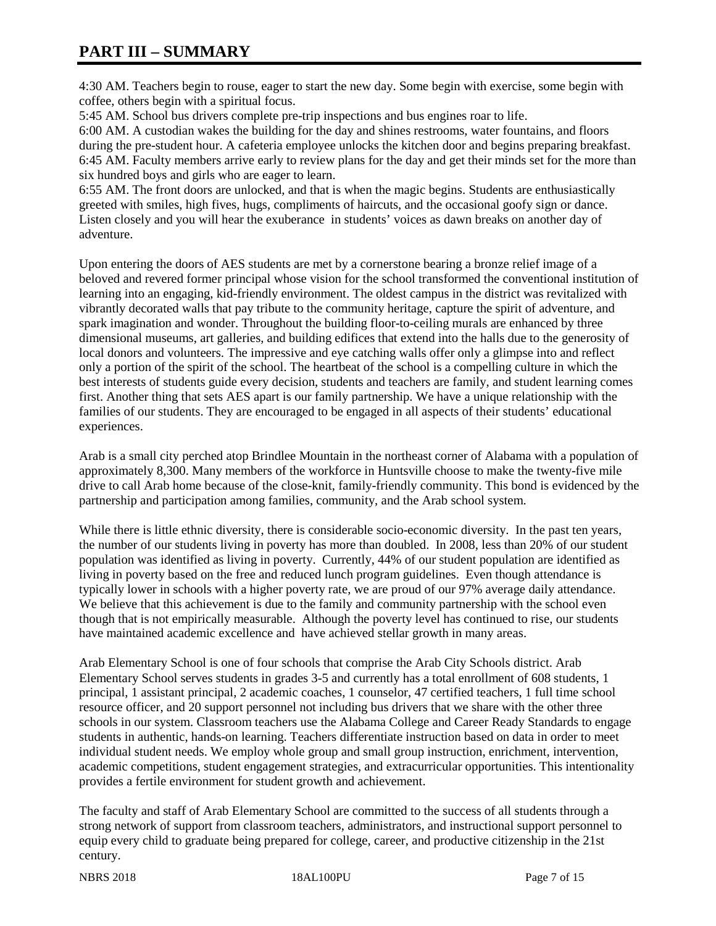# **PART III – SUMMARY**

4:30 AM. Teachers begin to rouse, eager to start the new day. Some begin with exercise, some begin with coffee, others begin with a spiritual focus.

5:45 AM. School bus drivers complete pre-trip inspections and bus engines roar to life.

6:00 AM. A custodian wakes the building for the day and shines restrooms, water fountains, and floors during the pre-student hour. A cafeteria employee unlocks the kitchen door and begins preparing breakfast. 6:45 AM. Faculty members arrive early to review plans for the day and get their minds set for the more than six hundred boys and girls who are eager to learn.

6:55 AM. The front doors are unlocked, and that is when the magic begins. Students are enthusiastically greeted with smiles, high fives, hugs, compliments of haircuts, and the occasional goofy sign or dance. Listen closely and you will hear the exuberance in students' voices as dawn breaks on another day of adventure.

Upon entering the doors of AES students are met by a cornerstone bearing a bronze relief image of a beloved and revered former principal whose vision for the school transformed the conventional institution of learning into an engaging, kid-friendly environment. The oldest campus in the district was revitalized with vibrantly decorated walls that pay tribute to the community heritage, capture the spirit of adventure, and spark imagination and wonder. Throughout the building floor-to-ceiling murals are enhanced by three dimensional museums, art galleries, and building edifices that extend into the halls due to the generosity of local donors and volunteers. The impressive and eye catching walls offer only a glimpse into and reflect only a portion of the spirit of the school. The heartbeat of the school is a compelling culture in which the best interests of students guide every decision, students and teachers are family, and student learning comes first. Another thing that sets AES apart is our family partnership. We have a unique relationship with the families of our students. They are encouraged to be engaged in all aspects of their students' educational experiences.

Arab is a small city perched atop Brindlee Mountain in the northeast corner of Alabama with a population of approximately 8,300. Many members of the workforce in Huntsville choose to make the twenty-five mile drive to call Arab home because of the close-knit, family-friendly community. This bond is evidenced by the partnership and participation among families, community, and the Arab school system.

While there is little ethnic diversity, there is considerable socio-economic diversity. In the past ten years, the number of our students living in poverty has more than doubled. In 2008, less than 20% of our student population was identified as living in poverty. Currently, 44% of our student population are identified as living in poverty based on the free and reduced lunch program guidelines. Even though attendance is typically lower in schools with a higher poverty rate, we are proud of our 97% average daily attendance. We believe that this achievement is due to the family and community partnership with the school even though that is not empirically measurable. Although the poverty level has continued to rise, our students have maintained academic excellence and have achieved stellar growth in many areas.

Arab Elementary School is one of four schools that comprise the Arab City Schools district. Arab Elementary School serves students in grades 3-5 and currently has a total enrollment of 608 students, 1 principal, 1 assistant principal, 2 academic coaches, 1 counselor, 47 certified teachers, 1 full time school resource officer, and 20 support personnel not including bus drivers that we share with the other three schools in our system. Classroom teachers use the Alabama College and Career Ready Standards to engage students in authentic, hands-on learning. Teachers differentiate instruction based on data in order to meet individual student needs. We employ whole group and small group instruction, enrichment, intervention, academic competitions, student engagement strategies, and extracurricular opportunities. This intentionality provides a fertile environment for student growth and achievement.

The faculty and staff of Arab Elementary School are committed to the success of all students through a strong network of support from classroom teachers, administrators, and instructional support personnel to equip every child to graduate being prepared for college, career, and productive citizenship in the 21st century.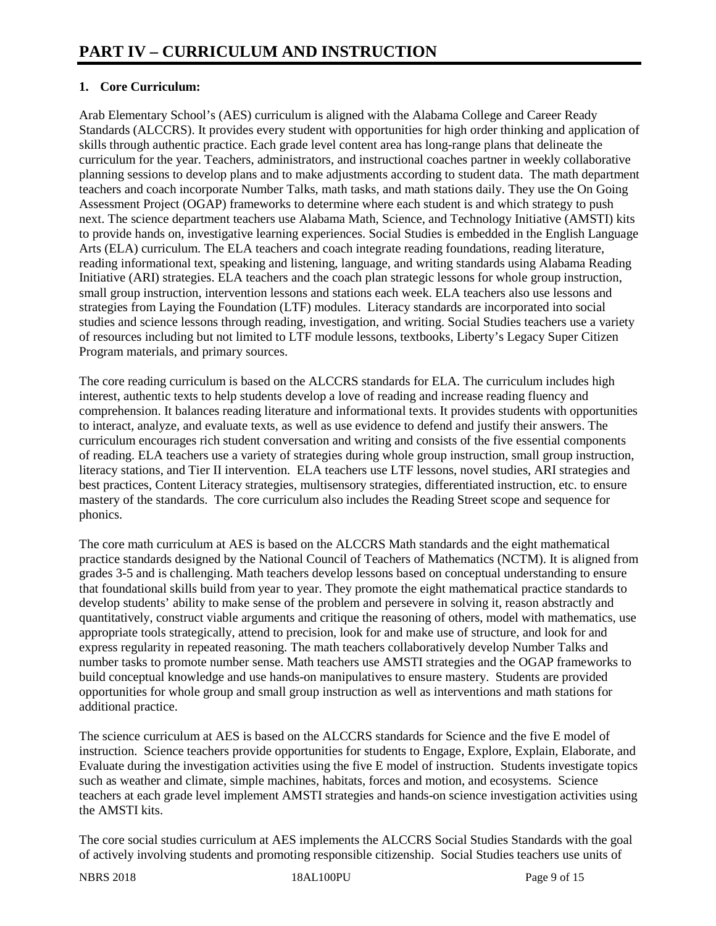# **1. Core Curriculum:**

Arab Elementary School's (AES) curriculum is aligned with the Alabama College and Career Ready Standards (ALCCRS). It provides every student with opportunities for high order thinking and application of skills through authentic practice. Each grade level content area has long-range plans that delineate the curriculum for the year. Teachers, administrators, and instructional coaches partner in weekly collaborative planning sessions to develop plans and to make adjustments according to student data. The math department teachers and coach incorporate Number Talks, math tasks, and math stations daily. They use the On Going Assessment Project (OGAP) frameworks to determine where each student is and which strategy to push next. The science department teachers use Alabama Math, Science, and Technology Initiative (AMSTI) kits to provide hands on, investigative learning experiences. Social Studies is embedded in the English Language Arts (ELA) curriculum. The ELA teachers and coach integrate reading foundations, reading literature, reading informational text, speaking and listening, language, and writing standards using Alabama Reading Initiative (ARI) strategies. ELA teachers and the coach plan strategic lessons for whole group instruction, small group instruction, intervention lessons and stations each week. ELA teachers also use lessons and strategies from Laying the Foundation (LTF) modules. Literacy standards are incorporated into social studies and science lessons through reading, investigation, and writing. Social Studies teachers use a variety of resources including but not limited to LTF module lessons, textbooks, Liberty's Legacy Super Citizen Program materials, and primary sources.

The core reading curriculum is based on the ALCCRS standards for ELA. The curriculum includes high interest, authentic texts to help students develop a love of reading and increase reading fluency and comprehension. It balances reading literature and informational texts. It provides students with opportunities to interact, analyze, and evaluate texts, as well as use evidence to defend and justify their answers. The curriculum encourages rich student conversation and writing and consists of the five essential components of reading. ELA teachers use a variety of strategies during whole group instruction, small group instruction, literacy stations, and Tier II intervention. ELA teachers use LTF lessons, novel studies, ARI strategies and best practices, Content Literacy strategies, multisensory strategies, differentiated instruction, etc. to ensure mastery of the standards. The core curriculum also includes the Reading Street scope and sequence for phonics.

The core math curriculum at AES is based on the ALCCRS Math standards and the eight mathematical practice standards designed by the National Council of Teachers of Mathematics (NCTM). It is aligned from grades 3-5 and is challenging. Math teachers develop lessons based on conceptual understanding to ensure that foundational skills build from year to year. They promote the eight mathematical practice standards to develop students' ability to make sense of the problem and persevere in solving it, reason abstractly and quantitatively, construct viable arguments and critique the reasoning of others, model with mathematics, use appropriate tools strategically, attend to precision, look for and make use of structure, and look for and express regularity in repeated reasoning. The math teachers collaboratively develop Number Talks and number tasks to promote number sense. Math teachers use AMSTI strategies and the OGAP frameworks to build conceptual knowledge and use hands-on manipulatives to ensure mastery. Students are provided opportunities for whole group and small group instruction as well as interventions and math stations for additional practice.

The science curriculum at AES is based on the ALCCRS standards for Science and the five E model of instruction. Science teachers provide opportunities for students to Engage, Explore, Explain, Elaborate, and Evaluate during the investigation activities using the five E model of instruction. Students investigate topics such as weather and climate, simple machines, habitats, forces and motion, and ecosystems. Science teachers at each grade level implement AMSTI strategies and hands-on science investigation activities using the AMSTI kits.

The core social studies curriculum at AES implements the ALCCRS Social Studies Standards with the goal of actively involving students and promoting responsible citizenship. Social Studies teachers use units of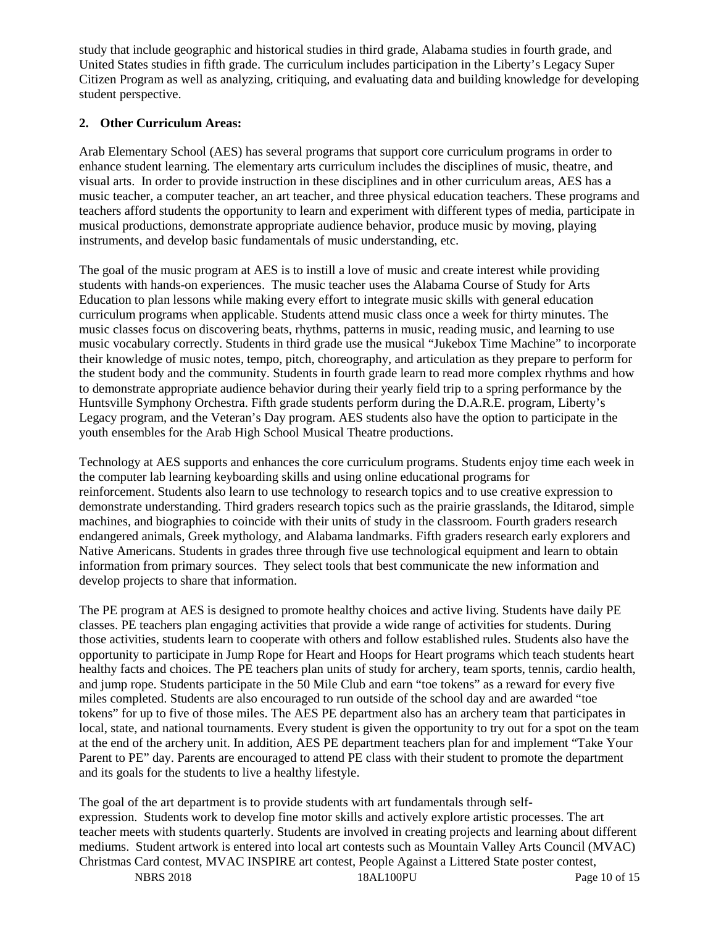study that include geographic and historical studies in third grade, Alabama studies in fourth grade, and United States studies in fifth grade. The curriculum includes participation in the Liberty's Legacy Super Citizen Program as well as analyzing, critiquing, and evaluating data and building knowledge for developing student perspective.

# **2. Other Curriculum Areas:**

Arab Elementary School (AES) has several programs that support core curriculum programs in order to enhance student learning. The elementary arts curriculum includes the disciplines of music, theatre, and visual arts. In order to provide instruction in these disciplines and in other curriculum areas, AES has a music teacher, a computer teacher, an art teacher, and three physical education teachers. These programs and teachers afford students the opportunity to learn and experiment with different types of media, participate in musical productions, demonstrate appropriate audience behavior, produce music by moving, playing instruments, and develop basic fundamentals of music understanding, etc.

The goal of the music program at AES is to instill a love of music and create interest while providing students with hands-on experiences. The music teacher uses the Alabama Course of Study for Arts Education to plan lessons while making every effort to integrate music skills with general education curriculum programs when applicable. Students attend music class once a week for thirty minutes. The music classes focus on discovering beats, rhythms, patterns in music, reading music, and learning to use music vocabulary correctly. Students in third grade use the musical "Jukebox Time Machine" to incorporate their knowledge of music notes, tempo, pitch, choreography, and articulation as they prepare to perform for the student body and the community. Students in fourth grade learn to read more complex rhythms and how to demonstrate appropriate audience behavior during their yearly field trip to a spring performance by the Huntsville Symphony Orchestra. Fifth grade students perform during the D.A.R.E. program, Liberty's Legacy program, and the Veteran's Day program. AES students also have the option to participate in the youth ensembles for the Arab High School Musical Theatre productions.

Technology at AES supports and enhances the core curriculum programs. Students enjoy time each week in the computer lab learning keyboarding skills and using online educational programs for reinforcement. Students also learn to use technology to research topics and to use creative expression to demonstrate understanding. Third graders research topics such as the prairie grasslands, the Iditarod, simple machines, and biographies to coincide with their units of study in the classroom. Fourth graders research endangered animals, Greek mythology, and Alabama landmarks. Fifth graders research early explorers and Native Americans. Students in grades three through five use technological equipment and learn to obtain information from primary sources. They select tools that best communicate the new information and develop projects to share that information.

The PE program at AES is designed to promote healthy choices and active living. Students have daily PE classes. PE teachers plan engaging activities that provide a wide range of activities for students. During those activities, students learn to cooperate with others and follow established rules. Students also have the opportunity to participate in Jump Rope for Heart and Hoops for Heart programs which teach students heart healthy facts and choices. The PE teachers plan units of study for archery, team sports, tennis, cardio health, and jump rope. Students participate in the 50 Mile Club and earn "toe tokens" as a reward for every five miles completed. Students are also encouraged to run outside of the school day and are awarded "toe tokens" for up to five of those miles. The AES PE department also has an archery team that participates in local, state, and national tournaments. Every student is given the opportunity to try out for a spot on the team at the end of the archery unit. In addition, AES PE department teachers plan for and implement "Take Your Parent to PE" day. Parents are encouraged to attend PE class with their student to promote the department and its goals for the students to live a healthy lifestyle.

The goal of the art department is to provide students with art fundamentals through selfexpression. Students work to develop fine motor skills and actively explore artistic processes. The art teacher meets with students quarterly. Students are involved in creating projects and learning about different mediums. Student artwork is entered into local art contests such as Mountain Valley Arts Council (MVAC) Christmas Card contest, MVAC INSPIRE art contest, People Against a Littered State poster contest,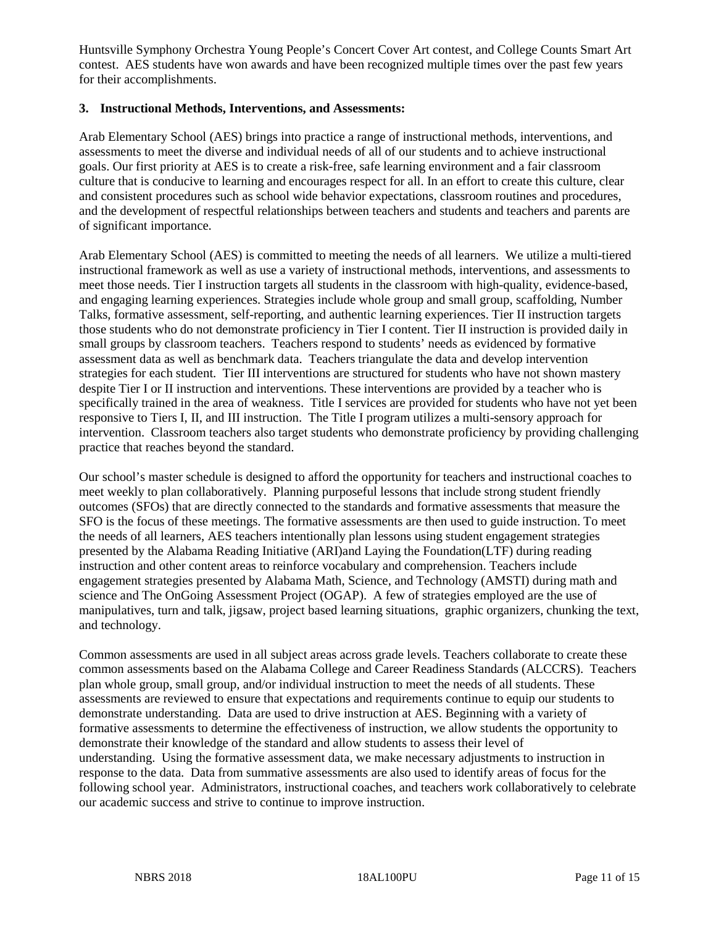Huntsville Symphony Orchestra Young People's Concert Cover Art contest, and College Counts Smart Art contest. AES students have won awards and have been recognized multiple times over the past few years for their accomplishments.

#### **3. Instructional Methods, Interventions, and Assessments:**

Arab Elementary School (AES) brings into practice a range of instructional methods, interventions, and assessments to meet the diverse and individual needs of all of our students and to achieve instructional goals. Our first priority at AES is to create a risk-free, safe learning environment and a fair classroom culture that is conducive to learning and encourages respect for all. In an effort to create this culture, clear and consistent procedures such as school wide behavior expectations, classroom routines and procedures, and the development of respectful relationships between teachers and students and teachers and parents are of significant importance.

Arab Elementary School (AES) is committed to meeting the needs of all learners. We utilize a multi-tiered instructional framework as well as use a variety of instructional methods, interventions, and assessments to meet those needs. Tier I instruction targets all students in the classroom with high-quality, evidence-based, and engaging learning experiences. Strategies include whole group and small group, scaffolding, Number Talks, formative assessment, self-reporting, and authentic learning experiences. Tier II instruction targets those students who do not demonstrate proficiency in Tier I content. Tier II instruction is provided daily in small groups by classroom teachers. Teachers respond to students' needs as evidenced by formative assessment data as well as benchmark data. Teachers triangulate the data and develop intervention strategies for each student. Tier III interventions are structured for students who have not shown mastery despite Tier I or II instruction and interventions. These interventions are provided by a teacher who is specifically trained in the area of weakness. Title I services are provided for students who have not yet been responsive to Tiers I, II, and III instruction. The Title I program utilizes a multi-sensory approach for intervention. Classroom teachers also target students who demonstrate proficiency by providing challenging practice that reaches beyond the standard.

Our school's master schedule is designed to afford the opportunity for teachers and instructional coaches to meet weekly to plan collaboratively. Planning purposeful lessons that include strong student friendly outcomes (SFOs) that are directly connected to the standards and formative assessments that measure the SFO is the focus of these meetings. The formative assessments are then used to guide instruction. To meet the needs of all learners, AES teachers intentionally plan lessons using student engagement strategies presented by the Alabama Reading Initiative (ARI)and Laying the Foundation(LTF) during reading instruction and other content areas to reinforce vocabulary and comprehension. Teachers include engagement strategies presented by Alabama Math, Science, and Technology (AMSTI) during math and science and The OnGoing Assessment Project (OGAP). A few of strategies employed are the use of manipulatives, turn and talk, jigsaw, project based learning situations, graphic organizers, chunking the text, and technology.

Common assessments are used in all subject areas across grade levels. Teachers collaborate to create these common assessments based on the Alabama College and Career Readiness Standards (ALCCRS). Teachers plan whole group, small group, and/or individual instruction to meet the needs of all students. These assessments are reviewed to ensure that expectations and requirements continue to equip our students to demonstrate understanding. Data are used to drive instruction at AES. Beginning with a variety of formative assessments to determine the effectiveness of instruction, we allow students the opportunity to demonstrate their knowledge of the standard and allow students to assess their level of understanding. Using the formative assessment data, we make necessary adjustments to instruction in response to the data. Data from summative assessments are also used to identify areas of focus for the following school year. Administrators, instructional coaches, and teachers work collaboratively to celebrate our academic success and strive to continue to improve instruction.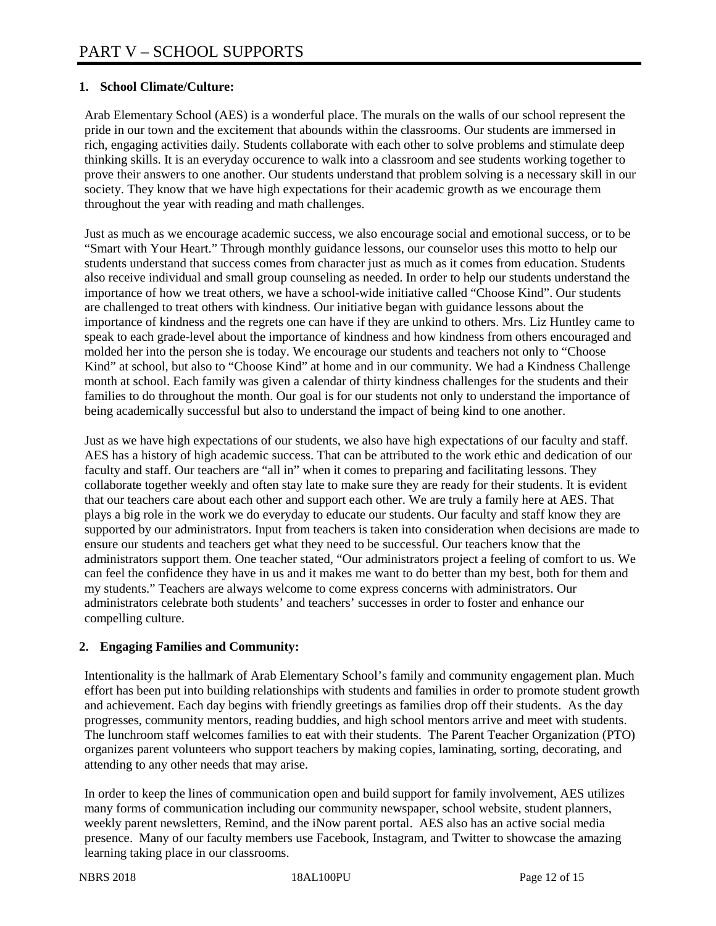## **1. School Climate/Culture:**

Arab Elementary School (AES) is a wonderful place. The murals on the walls of our school represent the pride in our town and the excitement that abounds within the classrooms. Our students are immersed in rich, engaging activities daily. Students collaborate with each other to solve problems and stimulate deep thinking skills. It is an everyday occurence to walk into a classroom and see students working together to prove their answers to one another. Our students understand that problem solving is a necessary skill in our society. They know that we have high expectations for their academic growth as we encourage them throughout the year with reading and math challenges.

Just as much as we encourage academic success, we also encourage social and emotional success, or to be "Smart with Your Heart." Through monthly guidance lessons, our counselor uses this motto to help our students understand that success comes from character just as much as it comes from education. Students also receive individual and small group counseling as needed. In order to help our students understand the importance of how we treat others, we have a school-wide initiative called "Choose Kind". Our students are challenged to treat others with kindness. Our initiative began with guidance lessons about the importance of kindness and the regrets one can have if they are unkind to others. Mrs. Liz Huntley came to speak to each grade-level about the importance of kindness and how kindness from others encouraged and molded her into the person she is today. We encourage our students and teachers not only to "Choose Kind" at school, but also to "Choose Kind" at home and in our community. We had a Kindness Challenge month at school. Each family was given a calendar of thirty kindness challenges for the students and their families to do throughout the month. Our goal is for our students not only to understand the importance of being academically successful but also to understand the impact of being kind to one another.

Just as we have high expectations of our students, we also have high expectations of our faculty and staff. AES has a history of high academic success. That can be attributed to the work ethic and dedication of our faculty and staff. Our teachers are "all in" when it comes to preparing and facilitating lessons. They collaborate together weekly and often stay late to make sure they are ready for their students. It is evident that our teachers care about each other and support each other. We are truly a family here at AES. That plays a big role in the work we do everyday to educate our students. Our faculty and staff know they are supported by our administrators. Input from teachers is taken into consideration when decisions are made to ensure our students and teachers get what they need to be successful. Our teachers know that the administrators support them. One teacher stated, "Our administrators project a feeling of comfort to us. We can feel the confidence they have in us and it makes me want to do better than my best, both for them and my students." Teachers are always welcome to come express concerns with administrators. Our administrators celebrate both students' and teachers' successes in order to foster and enhance our compelling culture.

# **2. Engaging Families and Community:**

Intentionality is the hallmark of Arab Elementary School's family and community engagement plan. Much effort has been put into building relationships with students and families in order to promote student growth and achievement. Each day begins with friendly greetings as families drop off their students. As the day progresses, community mentors, reading buddies, and high school mentors arrive and meet with students. The lunchroom staff welcomes families to eat with their students. The Parent Teacher Organization (PTO) organizes parent volunteers who support teachers by making copies, laminating, sorting, decorating, and attending to any other needs that may arise.

In order to keep the lines of communication open and build support for family involvement, AES utilizes many forms of communication including our community newspaper, school website, student planners, weekly parent newsletters, Remind, and the iNow parent portal. AES also has an active social media presence. Many of our faculty members use Facebook, Instagram, and Twitter to showcase the amazing learning taking place in our classrooms.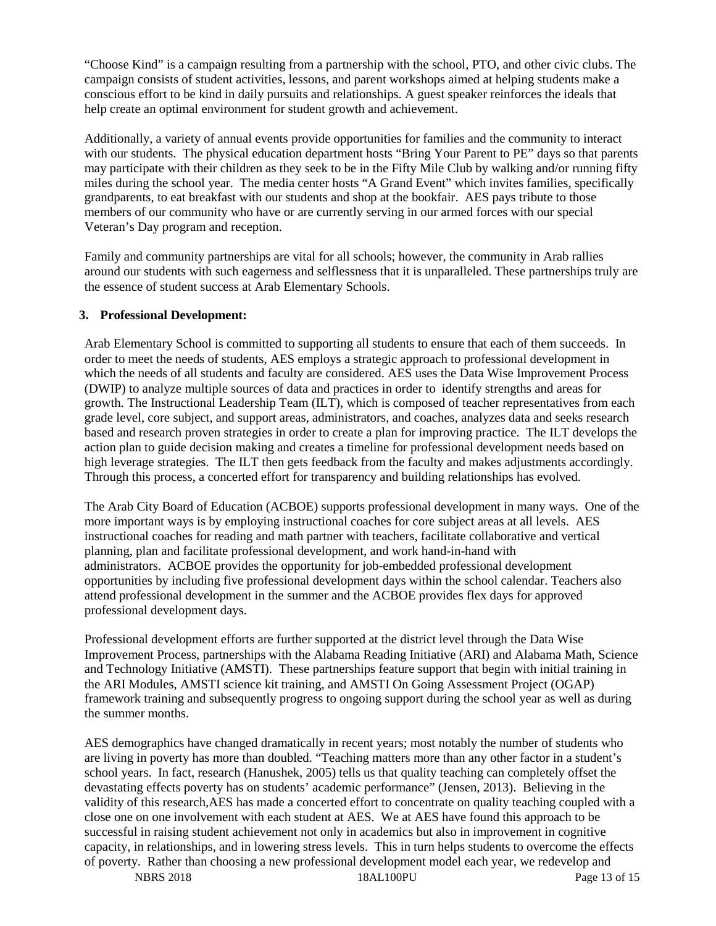"Choose Kind" is a campaign resulting from a partnership with the school, PTO, and other civic clubs. The campaign consists of student activities, lessons, and parent workshops aimed at helping students make a conscious effort to be kind in daily pursuits and relationships. A guest speaker reinforces the ideals that help create an optimal environment for student growth and achievement.

Additionally, a variety of annual events provide opportunities for families and the community to interact with our students. The physical education department hosts "Bring Your Parent to PE" days so that parents may participate with their children as they seek to be in the Fifty Mile Club by walking and/or running fifty miles during the school year. The media center hosts "A Grand Event" which invites families, specifically grandparents, to eat breakfast with our students and shop at the bookfair. AES pays tribute to those members of our community who have or are currently serving in our armed forces with our special Veteran's Day program and reception.

Family and community partnerships are vital for all schools; however, the community in Arab rallies around our students with such eagerness and selflessness that it is unparalleled. These partnerships truly are the essence of student success at Arab Elementary Schools.

#### **3. Professional Development:**

Arab Elementary School is committed to supporting all students to ensure that each of them succeeds. In order to meet the needs of students, AES employs a strategic approach to professional development in which the needs of all students and faculty are considered. AES uses the Data Wise Improvement Process (DWIP) to analyze multiple sources of data and practices in order to identify strengths and areas for growth. The Instructional Leadership Team (ILT), which is composed of teacher representatives from each grade level, core subject, and support areas, administrators, and coaches, analyzes data and seeks research based and research proven strategies in order to create a plan for improving practice. The ILT develops the action plan to guide decision making and creates a timeline for professional development needs based on high leverage strategies. The ILT then gets feedback from the faculty and makes adjustments accordingly. Through this process, a concerted effort for transparency and building relationships has evolved.

The Arab City Board of Education (ACBOE) supports professional development in many ways. One of the more important ways is by employing instructional coaches for core subject areas at all levels. AES instructional coaches for reading and math partner with teachers, facilitate collaborative and vertical planning, plan and facilitate professional development, and work hand-in-hand with administrators. ACBOE provides the opportunity for job-embedded professional development opportunities by including five professional development days within the school calendar. Teachers also attend professional development in the summer and the ACBOE provides flex days for approved professional development days.

Professional development efforts are further supported at the district level through the Data Wise Improvement Process, partnerships with the Alabama Reading Initiative (ARI) and Alabama Math, Science and Technology Initiative (AMSTI). These partnerships feature support that begin with initial training in the ARI Modules, AMSTI science kit training, and AMSTI On Going Assessment Project (OGAP) framework training and subsequently progress to ongoing support during the school year as well as during the summer months.

AES demographics have changed dramatically in recent years; most notably the number of students who are living in poverty has more than doubled. "Teaching matters more than any other factor in a student's school years. In fact, research (Hanushek, 2005) tells us that quality teaching can completely offset the devastating effects poverty has on students' academic performance" (Jensen, 2013). Believing in the validity of this research,AES has made a concerted effort to concentrate on quality teaching coupled with a close one on one involvement with each student at AES. We at AES have found this approach to be successful in raising student achievement not only in academics but also in improvement in cognitive capacity, in relationships, and in lowering stress levels. This in turn helps students to overcome the effects of poverty. Rather than choosing a new professional development model each year, we redevelop and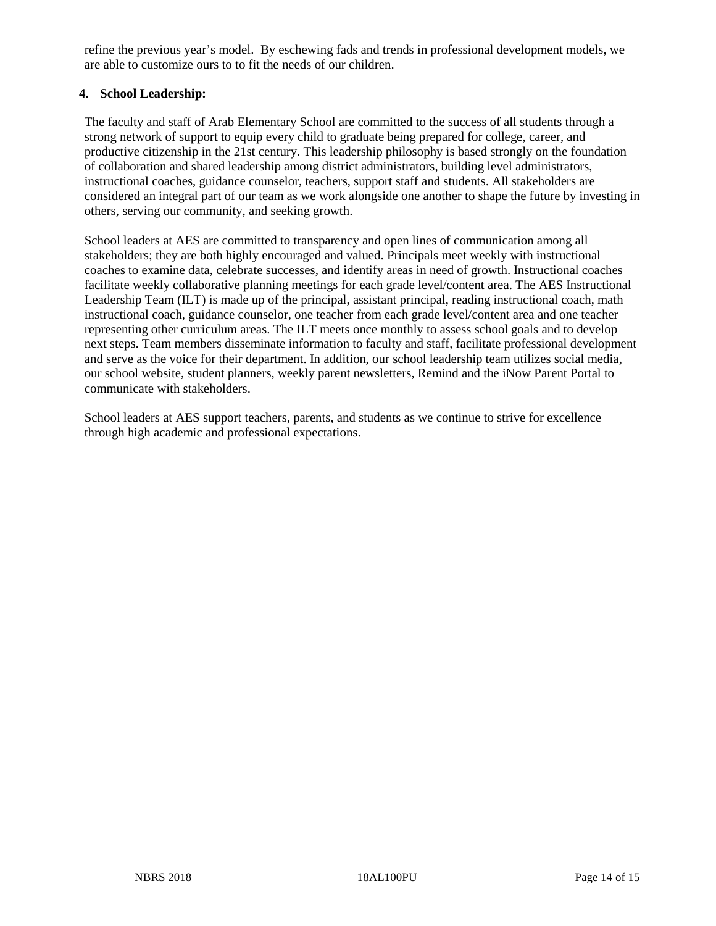refine the previous year's model. By eschewing fads and trends in professional development models, we are able to customize ours to to fit the needs of our children.

## **4. School Leadership:**

The faculty and staff of Arab Elementary School are committed to the success of all students through a strong network of support to equip every child to graduate being prepared for college, career, and productive citizenship in the 21st century. This leadership philosophy is based strongly on the foundation of collaboration and shared leadership among district administrators, building level administrators, instructional coaches, guidance counselor, teachers, support staff and students. All stakeholders are considered an integral part of our team as we work alongside one another to shape the future by investing in others, serving our community, and seeking growth.

School leaders at AES are committed to transparency and open lines of communication among all stakeholders; they are both highly encouraged and valued. Principals meet weekly with instructional coaches to examine data, celebrate successes, and identify areas in need of growth. Instructional coaches facilitate weekly collaborative planning meetings for each grade level/content area. The AES Instructional Leadership Team (ILT) is made up of the principal, assistant principal, reading instructional coach, math instructional coach, guidance counselor, one teacher from each grade level/content area and one teacher representing other curriculum areas. The ILT meets once monthly to assess school goals and to develop next steps. Team members disseminate information to faculty and staff, facilitate professional development and serve as the voice for their department. In addition, our school leadership team utilizes social media, our school website, student planners, weekly parent newsletters, Remind and the iNow Parent Portal to communicate with stakeholders.

School leaders at AES support teachers, parents, and students as we continue to strive for excellence through high academic and professional expectations.